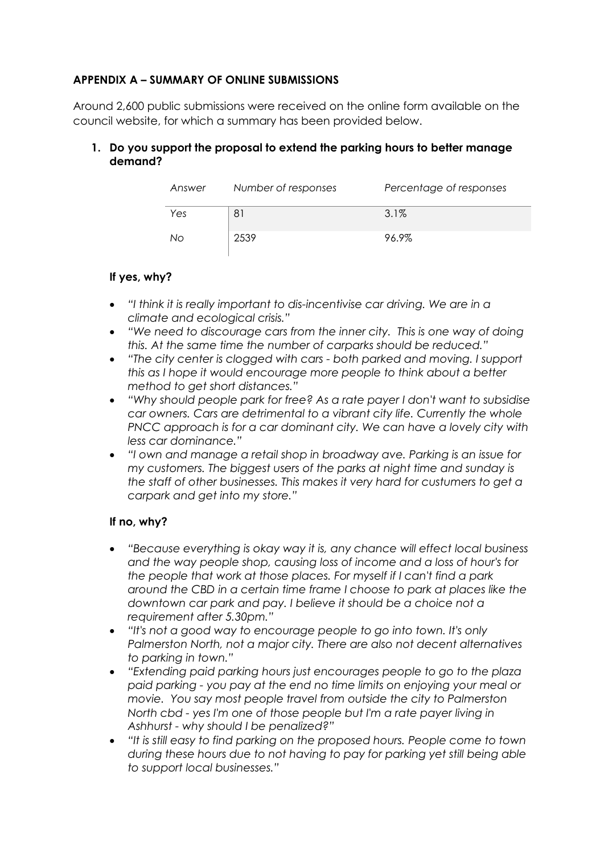# **APPENDIX A – SUMMARY OF ONLINE SUBMISSIONS**

Around 2,600 public submissions were received on the online form available on the council website, for which a summary has been provided below.

## **1. Do you support the proposal to extend the parking hours to better manage demand?**

| Answer | Number of responses | Percentage of responses |
|--------|---------------------|-------------------------|
| Yes    |                     | $3.1\%$                 |
| Nο     | 2539                | 96.9%                   |

#### **If yes, why?**

- *"I think it is really important to dis-incentivise car driving. We are in a climate and ecological crisis."*
- *"We need to discourage cars from the inner city. This is one way of doing this. At the same time the number of carparks should be reduced."*
- *"The city center is clogged with cars - both parked and moving. I support this as I hope it would encourage more people to think about a better method to get short distances."*
- *"Why should people park for free? As a rate payer I don't want to subsidise car owners. Cars are detrimental to a vibrant city life. Currently the whole PNCC approach is for a car dominant city. We can have a lovely city with less car dominance."*
- *"I own and manage a retail shop in broadway ave. Parking is an issue for my customers. The biggest users of the parks at night time and sunday is the staff of other businesses. This makes it very hard for custumers to get a carpark and get into my store."*

## **If no, why?**

- *"Because everything is okay way it is, any chance will effect local business and the way people shop, causing loss of income and a loss of hour's for the people that work at those places. For myself if I can't find a park around the CBD in a certain time frame I choose to park at places like the downtown car park and pay. I believe it should be a choice not a requirement after 5.30pm."*
- *"It's not a good way to encourage people to go into town. It's only Palmerston North, not a major city. There are also not decent alternatives to parking in town."*
- *"Extending paid parking hours just encourages people to go to the plaza paid parking - you pay at the end no time limits on enjoying your meal or movie. You say most people travel from outside the city to Palmerston North cbd - yes I'm one of those people but I'm a rate payer living in Ashhurst - why should I be penalized?"*
- *"It is still easy to find parking on the proposed hours. People come to town during these hours due to not having to pay for parking yet still being able to support local businesses."*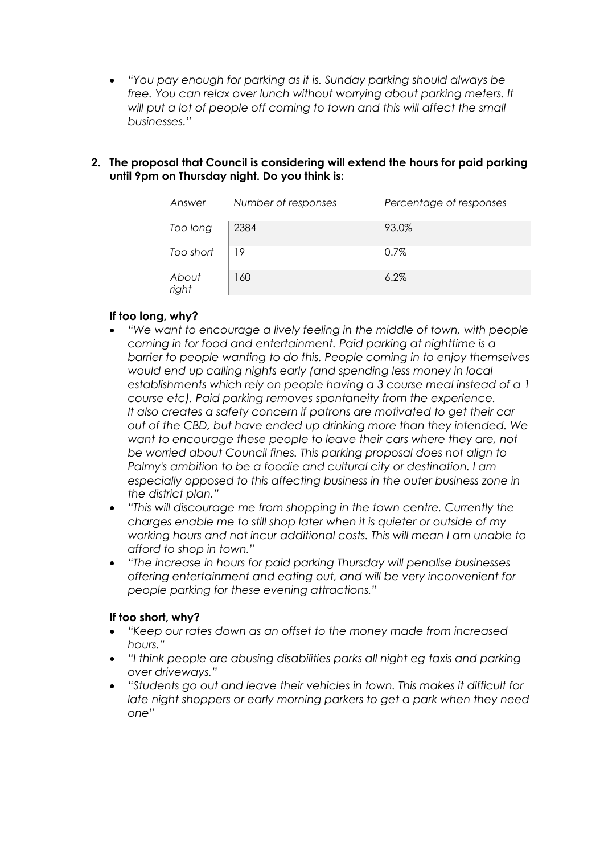- *"You pay enough for parking as it is. Sunday parking should always be*  free. You can relax over lunch without worrying about parking meters. It will put a lot of people off coming to town and this will affect the small *businesses."*
- **2. The proposal that Council is considering will extend the hours for paid parking until 9pm on Thursday night. Do you think is:**

| Answer         | Number of responses | Percentage of responses |
|----------------|---------------------|-------------------------|
| Too long       | 2384                | 93.0%                   |
| Too short      | 19                  | $0.7\%$                 |
| About<br>right | 160                 | $6.2\%$                 |

# **If too long, why?**

- *"We want to encourage a lively feeling in the middle of town, with people coming in for food and entertainment. Paid parking at nighttime is a barrier to people wanting to do this. People coming in to enjoy themselves would end up calling nights early (and spending less money in local establishments which rely on people having a 3 course meal instead of a 1 course etc). Paid parking removes spontaneity from the experience. It also creates a safety concern if patrons are motivated to get their car out of the CBD, but have ended up drinking more than they intended. We want to encourage these people to leave their cars where they are, not be worried about Council fines. This parking proposal does not align to Palmy's ambition to be a foodie and cultural city or destination. I am especially opposed to this affecting business in the outer business zone in the district plan."*
- *"This will discourage me from shopping in the town centre. Currently the charges enable me to still shop later when it is quieter or outside of my working hours and not incur additional costs. This will mean I am unable to afford to shop in town."*
- *"The increase in hours for paid parking Thursday will penalise businesses offering entertainment and eating out, and will be very inconvenient for people parking for these evening attractions."*

## **If too short, why?**

- *"Keep our rates down as an offset to the money made from increased hours."*
- *"I think people are abusing disabilities parks all night eg taxis and parking over driveways."*
- *"Students go out and leave their vehicles in town. This makes it difficult for late night shoppers or early morning parkers to get a park when they need one"*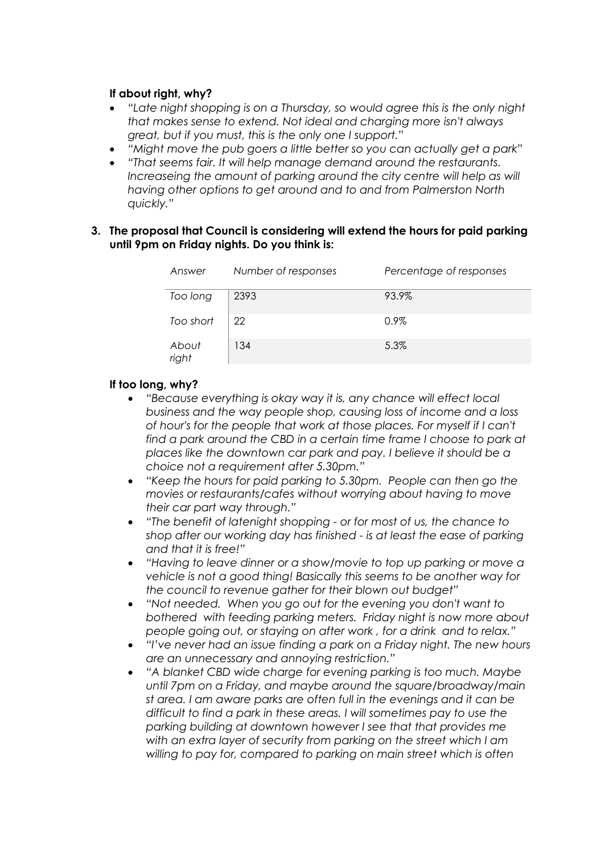#### **If about right, why?**

- *"Late night shopping is on a Thursday, so would agree this is the only night that makes sense to extend. Not ideal and charging more isn't always great, but if you must, this is the only one I support."*
- *"Might move the pub goers a little better so you can actually get a park"*
- *"That seems fair. It will help manage demand around the restaurants.*  Increaseing the amount of parking around the city centre will help as will *having other options to get around and to and from Palmerston North quickly."*

#### **3. The proposal that Council is considering will extend the hours for paid parking until 9pm on Friday nights. Do you think is:**

| Answer         | Number of responses | Percentage of responses |
|----------------|---------------------|-------------------------|
| Too long       | 2393                | 93.9%                   |
| Too short      | 22                  | $0.9\%$                 |
| About<br>right | 134                 | 5.3%                    |

#### **If too long, why?**

- *"Because everything is okay way it is, any chance will effect local business and the way people shop, causing loss of income and a loss of hour's for the people that work at those places. For myself if I can't find a park around the CBD in a certain time frame I choose to park at places like the downtown car park and pay. I believe it should be a choice not a requirement after 5.30pm."*
- *"Keep the hours for paid parking to 5.30pm. People can then go the movies or restaurants/cafes without worrying about having to move their car part way through."*
- *"The benefit of latenight shopping - or for most of us, the chance to shop after our working day has finished - is at least the ease of parking and that it is free!"*
- *"Having to leave dinner or a show/movie to top up parking or move a vehicle is not a good thing! Basically this seems to be another way for the council to revenue gather for their blown out budget"*
- *"Not needed. When you go out for the evening you don't want to bothered with feeding parking meters. Friday night is now more about people going out, or staying on after work , for a drink and to relax."*
- *"I've never had an issue finding a park on a Friday night. The new hours are an unnecessary and annoying restriction."*
- *"A blanket CBD wide charge for evening parking is too much. Maybe until 7pm on a Friday, and maybe around the square/broadway/main st area. I am aware parks are often full in the evenings and it can be difficult to find a park in these areas. I will sometimes pay to use the parking building at downtown however I see that that provides me with an extra layer of security from parking on the street which I am willing to pay for, compared to parking on main street which is often*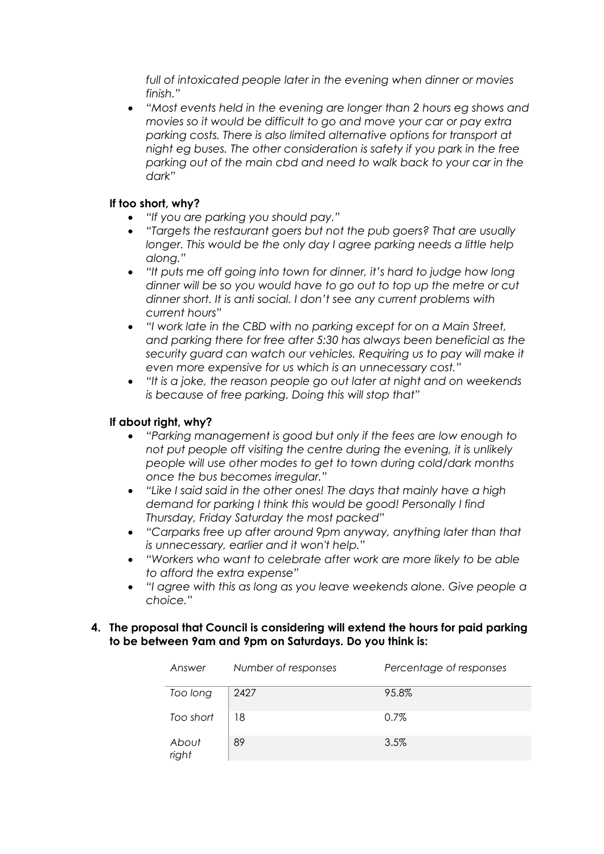*full of intoxicated people later in the evening when dinner or movies finish."*

• *"Most events held in the evening are longer than 2 hours eg shows and movies so it would be difficult to go and move your car or pay extra parking costs. There is also limited alternative options for transport at night eg buses. The other consideration is safety if you park in the free parking out of the main cbd and need to walk back to your car in the dark"*

# **If too short, why?**

- *"If you are parking you should pay."*
- *"Targets the restaurant goers but not the pub goers? That are usually longer. This would be the only day I agree parking needs a little help along."*
- *"It puts me off going into town for dinner, it's hard to judge how long dinner will be so you would have to go out to top up the metre or cut dinner short. It is anti social. I don't see any current problems with current hours"*
- *"I work late in the CBD with no parking except for on a Main Street, and parking there for free after 5:30 has always been beneficial as the security guard can watch our vehicles. Requiring us to pay will make it even more expensive for us which is an unnecessary cost."*
- *"It is a joke, the reason people go out later at night and on weekends is because of free parking. Doing this will stop that"*

# **If about right, why?**

- *"Parking management is good but only if the fees are low enough to not put people off visiting the centre during the evening, it is unlikely people will use other modes to get to town during cold/dark months once the bus becomes irregular."*
- *"Like I said said in the other ones! The days that mainly have a high demand for parking I think this would be good! Personally I find Thursday, Friday Saturday the most packed"*
- *"Carparks free up after around 9pm anyway, anything later than that is unnecessary, earlier and it won't help."*
- *"Workers who want to celebrate after work are more likely to be able to afford the extra expense"*
- *"I agree with this as long as you leave weekends alone. Give people a choice."*

#### **4. The proposal that Council is considering will extend the hours for paid parking to be between 9am and 9pm on Saturdays. Do you think is:**

| Answer         | Number of responses | Percentage of responses |
|----------------|---------------------|-------------------------|
| Too long       | 2427                | 95.8%                   |
| Too short      | 18                  | 0.7%                    |
| About<br>right | 89                  | 3.5%                    |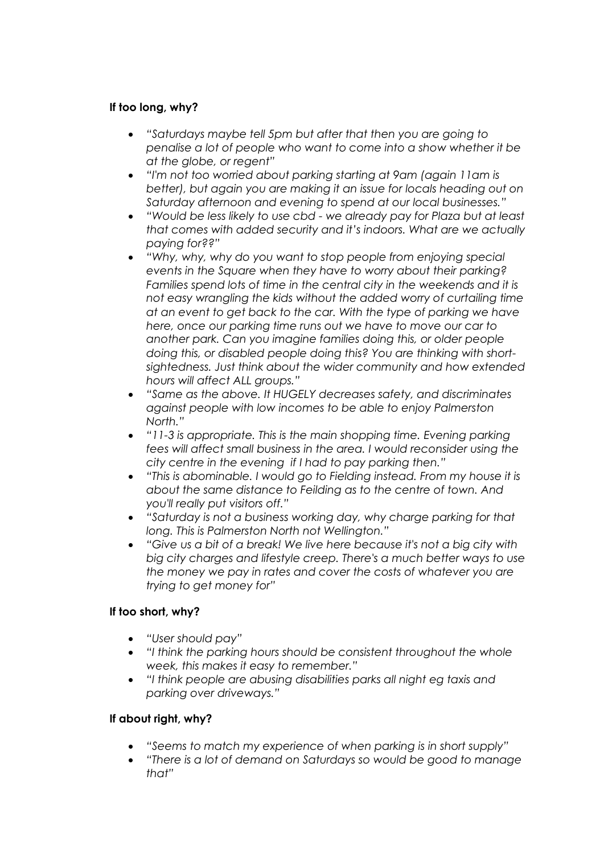# **If too long, why?**

- *"Saturdays maybe tell 5pm but after that then you are going to penalise a lot of people who want to come into a show whether it be at the globe, or regent"*
- *"I'm not too worried about parking starting at 9am (again 11am is better), but again you are making it an issue for locals heading out on Saturday afternoon and evening to spend at our local businesses."*
- *"Would be less likely to use cbd - we already pay for Plaza but at least that comes with added security and it's indoors. What are we actually paying for??"*
- *"Why, why, why do you want to stop people from enjoying special events in the Square when they have to worry about their parking? Families spend lots of time in the central city in the weekends and it is not easy wrangling the kids without the added worry of curtailing time at an event to get back to the car. With the type of parking we have here, once our parking time runs out we have to move our car to another park. Can you imagine families doing this, or older people doing this, or disabled people doing this? You are thinking with shortsightedness. Just think about the wider community and how extended hours will affect ALL groups."*
- *"Same as the above. It HUGELY decreases safety, and discriminates against people with low incomes to be able to enjoy Palmerston North."*
- *"11-3 is appropriate. This is the main shopping time. Evening parking fees will affect small business in the area. I would reconsider using the city centre in the evening if I had to pay parking then."*
- *"This is abominable. I would go to Fielding instead. From my house it is about the same distance to Feilding as to the centre of town. And you'll really put visitors off."*
- *"Saturday is not a business working day, why charge parking for that long. This is Palmerston North not Wellington."*
- *"Give us a bit of a break! We live here because it's not a big city with big city charges and lifestyle creep. There's a much better ways to use the money we pay in rates and cover the costs of whatever you are trying to get money for"*

## **If too short, why?**

- *"User should pay"*
- *"I think the parking hours should be consistent throughout the whole week, this makes it easy to remember."*
- *"I think people are abusing disabilities parks all night eg taxis and parking over driveways."*

## **If about right, why?**

- *"Seems to match my experience of when parking is in short supply"*
- *"There is a lot of demand on Saturdays so would be good to manage that"*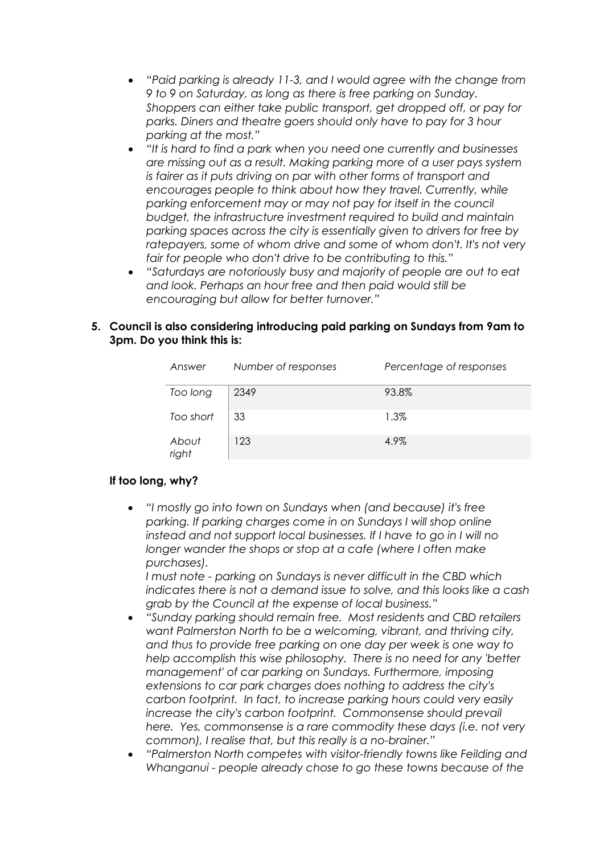- *"Paid parking is already 11-3, and I would agree with the change from 9 to 9 on Saturday, as long as there is free parking on Sunday. Shoppers can either take public transport, get dropped off, or pay for parks. Diners and theatre goers should only have to pay for 3 hour parking at the most."*
- *"It is hard to find a park when you need one currently and businesses are missing out as a result. Making parking more of a user pays system is fairer as it puts driving on par with other forms of transport and encourages people to think about how they travel. Currently, while parking enforcement may or may not pay for itself in the council budget, the infrastructure investment required to build and maintain parking spaces across the city is essentially given to drivers for free by ratepayers, some of whom drive and some of whom don't. It's not very fair for people who don't drive to be contributing to this."*
- *"Saturdays are notoriously busy and majority of people are out to eat and look. Perhaps an hour free and then paid would still be encouraging but allow for better turnover."*

#### **5. Council is also considering introducing paid parking on Sundays from 9am to 3pm. Do you think this is:**

| Answer         | Number of responses | Percentage of responses |
|----------------|---------------------|-------------------------|
| Too long       | 2349                | 93.8%                   |
| Too short      | 33                  | 1.3%                    |
| About<br>right | 123                 | 4.9%                    |

## **If too long, why?**

• *"I mostly go into town on Sundays when (and because) it's free parking. If parking charges come in on Sundays I will shop online instead and not support local businesses. If I have to go in I will no longer wander the shops or stop at a cafe (where I often make purchases).*

*I must note - parking on Sundays is never difficult in the CBD which indicates there is not a demand issue to solve, and this looks like a cash grab by the Council at the expense of local business."*

- *"Sunday parking should remain free. Most residents and CBD retailers want Palmerston North to be a welcoming, vibrant, and thriving city, and thus to provide free parking on one day per week is one way to help accomplish this wise philosophy. There is no need for any 'better management' of car parking on Sundays. Furthermore, imposing extensions to car park charges does nothing to address the city's carbon footprint. In fact, to increase parking hours could very easily increase the city's carbon footprint. Commonsense should prevail here. Yes, commonsense is a rare commodity these days (i.e. not very common), I realise that, but this really is a no-brainer."*
- *"Palmerston North competes with visitor-friendly towns like Feilding and Whanganui - people already chose to go these towns because of the*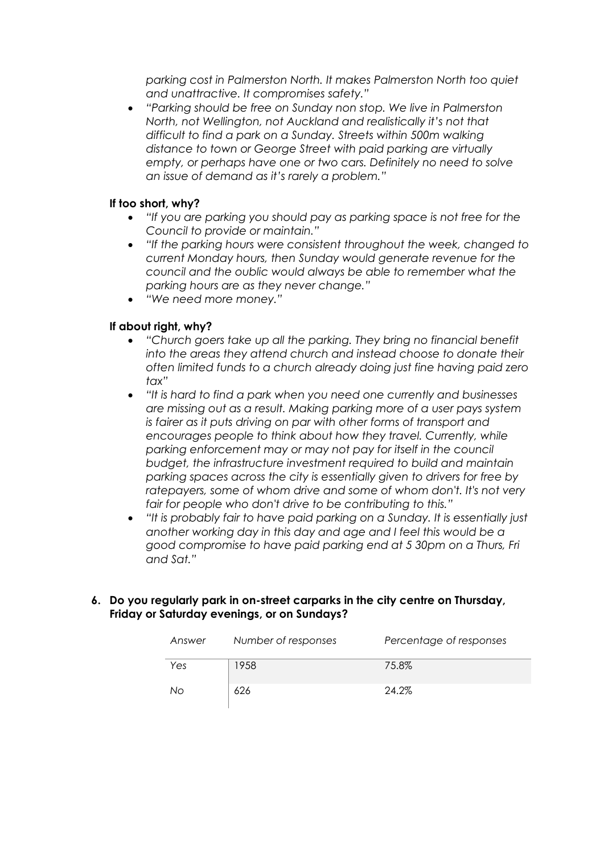*parking cost in Palmerston North. It makes Palmerston North too quiet and unattractive. It compromises safety."* 

• *"Parking should be free on Sunday non stop. We live in Palmerston North, not Wellington, not Auckland and realistically it's not that difficult to find a park on a Sunday. Streets within 500m walking distance to town or George Street with paid parking are virtually empty, or perhaps have one or two cars. Definitely no need to solve an issue of demand as it's rarely a problem."*

# **If too short, why?**

- *"If you are parking you should pay as parking space is not free for the Council to provide or maintain."*
- *"If the parking hours were consistent throughout the week, changed to current Monday hours, then Sunday would generate revenue for the council and the oublic would always be able to remember what the parking hours are as they never change."*
- *"We need more money."*

## **If about right, why?**

- *"Church goers take up all the parking. They bring no financial benefit into the areas they attend church and instead choose to donate their often limited funds to a church already doing just fine having paid zero tax"*
- *"It is hard to find a park when you need one currently and businesses are missing out as a result. Making parking more of a user pays system is fairer as it puts driving on par with other forms of transport and encourages people to think about how they travel. Currently, while parking enforcement may or may not pay for itself in the council budget, the infrastructure investment required to build and maintain parking spaces across the city is essentially given to drivers for free by ratepayers, some of whom drive and some of whom don't. It's not very fair for people who don't drive to be contributing to this."*
- *"It is probably fair to have paid parking on a Sunday. It is essentially just another working day in this day and age and I feel this would be a good compromise to have paid parking end at 5 30pm on a Thurs, Fri and Sat."*

#### **6. Do you regularly park in on-street carparks in the city centre on Thursday, Friday or Saturday evenings, or on Sundays?**

| Answer | Number of responses | Percentage of responses |
|--------|---------------------|-------------------------|
| Yes    | 1958                | 75.8%                   |
| No     | 626                 | 24.2%                   |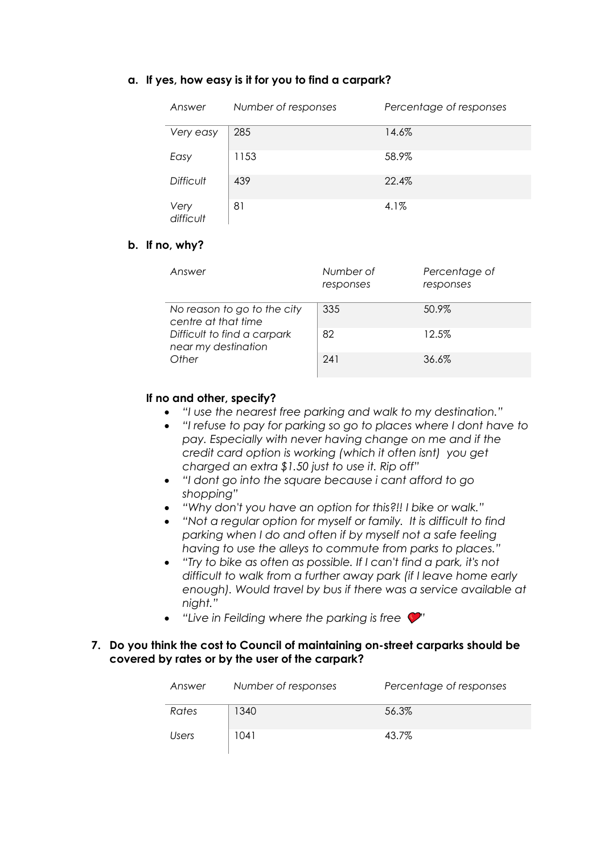#### **a. If yes, how easy is it for you to find a carpark?**

| Answer            | Number of responses | Percentage of responses |
|-------------------|---------------------|-------------------------|
| Very easy         | 285                 | 14.6%                   |
| Easy              | 1153                | 58.9%                   |
| <b>Difficult</b>  | 439                 | 22.4%                   |
| Very<br>difficult | 81                  | 4.1%                    |

#### **b. If no, why?**

| Answer                                             | Number of<br>responses | Percentage of<br>responses |
|----------------------------------------------------|------------------------|----------------------------|
| No reason to go to the city<br>centre at that time | 335                    | 50.9%                      |
| Difficult to find a carpark<br>near my destination | 82                     | 12.5%                      |
| Other                                              | 241                    | 36.6%                      |

## **If no and other, specify?**

- *"I use the nearest free parking and walk to my destination."*
- *"I refuse to pay for parking so go to places where I dont have to pay. Especially with never having change on me and if the credit card option is working (which it often isnt) you get charged an extra \$1.50 just to use it. Rip off"*
- *"I dont go into the square because i cant afford to go shopping"*
- *"Why don't you have an option for this?!! I bike or walk."*
- *"Not a regular option for myself or family. It is difficult to find parking when I do and often if by myself not a safe feeling having to use the alleys to commute from parks to places."*
- *"Try to bike as often as possible. If I can't find a park, it's not difficult to walk from a further away park (if I leave home early enough). Would travel by bus if there was a service available at night."*
- *"Live in Feilding where the parking is free*

#### **7. Do you think the cost to Council of maintaining on-street carparks should be covered by rates or by the user of the carpark?**

| Answer       | Number of responses | Percentage of responses |
|--------------|---------------------|-------------------------|
| Rates        | 1340                | 56.3%                   |
| <b>Users</b> | 1041                | 43.7%                   |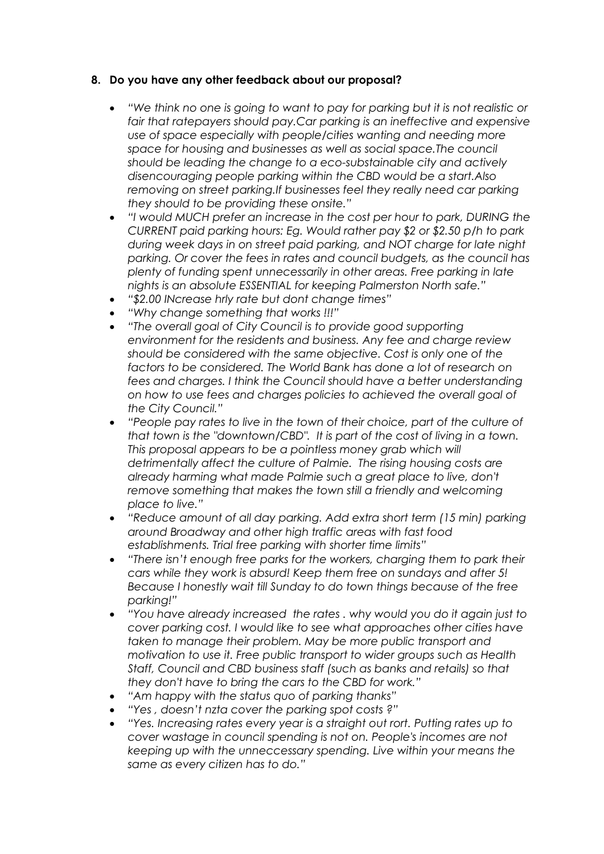## **8. Do you have any other feedback about our proposal?**

- *"We think no one is going to want to pay for parking but it is not realistic or fair that ratepayers should pay.Car parking is an ineffective and expensive use of space especially with people/cities wanting and needing more space for housing and businesses as well as social space.The council should be leading the change to a eco-substainable city and actively disencouraging people parking within the CBD would be a start.Also removing on street parking.If businesses feel they really need car parking they should to be providing these onsite."*
- *"I would MUCH prefer an increase in the cost per hour to park, DURING the CURRENT paid parking hours: Eg. Would rather pay \$2 or \$2.50 p/h to park during week days in on street paid parking, and NOT charge for late night parking. Or cover the fees in rates and council budgets, as the council has plenty of funding spent unnecessarily in other areas. Free parking in late nights is an absolute ESSENTIAL for keeping Palmerston North safe."*
- *"\$2.00 INcrease hrly rate but dont change times"*
- *"Why change something that works !!!"*
- *"The overall goal of City Council is to provide good supporting environment for the residents and business. Any fee and charge review should be considered with the same objective. Cost is only one of the factors to be considered. The World Bank has done a lot of research on fees and charges. I think the Council should have a better understanding on how to use fees and charges policies to achieved the overall goal of the City Council."*
- *"People pay rates to live in the town of their choice, part of the culture of that town is the "downtown/CBD". It is part of the cost of living in a town. This proposal appears to be a pointless money grab which will detrimentally affect the culture of Palmie. The rising housing costs are already harming what made Palmie such a great place to live, don't remove something that makes the town still a friendly and welcoming place to live."*
- *"Reduce amount of all day parking. Add extra short term (15 min) parking around Broadway and other high traffic areas with fast food establishments. Trial free parking with shorter time limits"*
- *"There isn't enough free parks for the workers, charging them to park their cars while they work is absurd! Keep them free on sundays and after 5! Because I honestly wait till Sunday to do town things because of the free parking!"*
- *"You have already increased the rates . why would you do it again just to cover parking cost. I would like to see what approaches other cities have taken to manage their problem. May be more public transport and motivation to use it. Free public transport to wider groups such as Health Staff, Council and CBD business staff (such as banks and retails) so that they don't have to bring the cars to the CBD for work."*
- *"Am happy with the status quo of parking thanks"*
- *"Yes , doesn't nzta cover the parking spot costs ?"*
- *"Yes. Increasing rates every year is a straight out rort. Putting rates up to cover wastage in council spending is not on. People's incomes are not keeping up with the unneccessary spending. Live within your means the same as every citizen has to do."*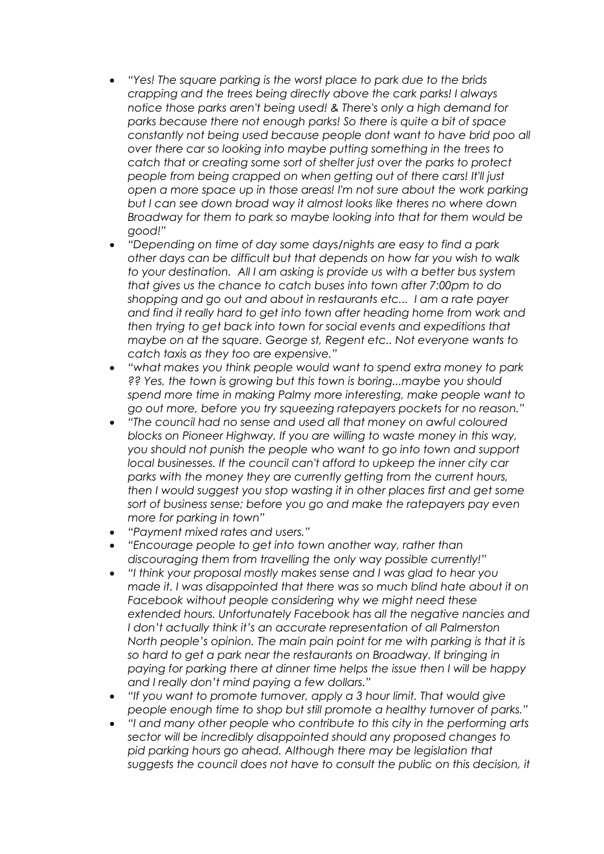- *"Yes! The square parking is the worst place to park due to the brids crapping and the trees being directly above the cark parks! I always notice those parks aren't being used! & There's only a high demand for parks because there not enough parks! So there is quite a bit of space constantly not being used because people dont want to have brid poo all over there car so looking into maybe putting something in the trees to catch that or creating some sort of shelter just over the parks to protect people from being crapped on when getting out of there cars! It'll just open a more space up in those areas! I'm not sure about the work parking but I can see down broad way it almost looks like theres no where down Broadway for them to park so maybe looking into that for them would be good!"*
- *"Depending on time of day some days/nights are easy to find a park other days can be difficult but that depends on how far you wish to walk to your destination. All I am asking is provide us with a better bus system that gives us the chance to catch buses into town after 7:00pm to do shopping and go out and about in restaurants etc... I am a rate payer and find it really hard to get into town after heading home from work and then trying to get back into town for social events and expeditions that maybe on at the square. George st, Regent etc.. Not everyone wants to catch taxis as they too are expensive."*
- *"what makes you think people would want to spend extra money to park ?? Yes, the town is growing but this town is boring...maybe you should spend more time in making Palmy more interesting, make people want to go out more, before you try squeezing ratepayers pockets for no reason."*
- *"The council had no sense and used all that money on awful coloured blocks on Pioneer Highway. If you are willing to waste money in this way, you should not punish the people who want to go into town and support local businesses. If the council can't afford to upkeep the inner city car parks with the money they are currently getting from the current hours, then I would suggest you stop wasting it in other places first and get some sort of business sense; before you go and make the ratepayers pay even more for parking in town"*
- *"Payment mixed rates and users."*
- *"Encourage people to get into town another way, rather than discouraging them from travelling the only way possible currently!"*
- *"I think your proposal mostly makes sense and I was glad to hear you made it. I was disappointed that there was so much blind hate about it on Facebook without people considering why we might need these extended hours. Unfortunately Facebook has all the negative nancies and I don't actually think it's an accurate representation of all Palmerston North people's opinion. The main pain point for me with parking is that it is so hard to get a park near the restaurants on Broadway. If bringing in paying for parking there at dinner time helps the issue then I will be happy and I really don't mind paying a few dollars."*
- *"If you want to promote turnover, apply a 3 hour limit. That would give people enough time to shop but still promote a healthy turnover of parks."*
- *"I and many other people who contribute to this city in the performing arts sector will be incredibly disappointed should any proposed changes to pid parking hours go ahead. Although there may be legislation that suggests the council does not have to consult the public on this decision, it*